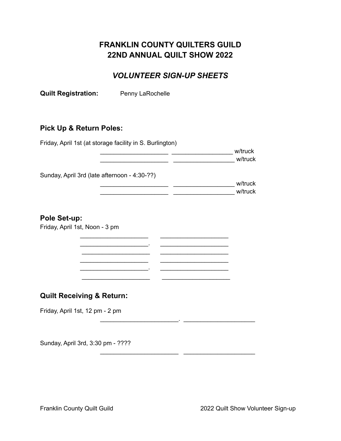## **FRANKLIN COUNTY QUILTERS GUILD 22ND ANNUAL QUILT SHOW 2022**

## *VOLUNTEER SIGN-UP SHEETS*

**Quilt Registration:** Penny LaRochelle

#### **Pick Up & Return Poles:**

Friday, April 1st (at storage facility in S. Burlington) \_\_\_\_\_\_\_\_\_\_\_\_\_\_\_\_\_\_\_\_ \_\_\_\_\_\_\_\_\_\_\_\_\_\_\_\_\_\_ w/truck \_\_\_\_\_\_\_\_\_\_\_\_\_\_\_\_\_\_\_\_ \_\_\_\_\_\_\_\_\_\_\_\_\_\_\_\_\_\_ w/truck Sunday, April 3rd (late afternoon - 4:30-??) \_\_\_\_\_\_\_\_\_\_\_\_\_\_\_\_\_\_\_\_ \_\_\_\_\_\_\_\_\_\_\_\_\_\_\_\_\_\_ w/truck \_\_\_\_\_\_\_\_\_\_\_\_\_\_\_\_\_\_\_\_ \_\_\_\_\_\_\_\_\_\_\_\_\_\_\_\_\_\_ w/truck **Pole Set-up:** Friday, April 1st, Noon - 3 pm \_\_\_\_\_\_\_\_\_\_\_\_\_\_\_\_\_\_\_\_ \_\_\_\_\_\_\_\_\_\_\_\_\_\_\_\_\_\_\_\_  $\mathcal{L}_\text{max}$  and  $\mathcal{L}_\text{max}$  and  $\mathcal{L}_\text{max}$  $\frac{1}{2}$  ,  $\frac{1}{2}$  ,  $\frac{1}{2}$  ,  $\frac{1}{2}$  ,  $\frac{1}{2}$  ,  $\frac{1}{2}$  ,  $\frac{1}{2}$  ,  $\frac{1}{2}$  ,  $\frac{1}{2}$  ,  $\frac{1}{2}$  ,  $\frac{1}{2}$  ,  $\frac{1}{2}$  ,  $\frac{1}{2}$  ,  $\frac{1}{2}$  ,  $\frac{1}{2}$  ,  $\frac{1}{2}$  ,  $\frac{1}{2}$  ,  $\frac{1}{2}$  ,  $\frac{1$  $\mathcal{L}_\text{max}$  , where  $\mathcal{L}_\text{max}$  and  $\mathcal{L}_\text{max}$  $\mathcal{L}_\text{max} = \mathcal{L}_\text{max} = \mathcal{L}_\text{max} = \mathcal{L}_\text{max} = \mathcal{L}_\text{max} = \mathcal{L}_\text{max} = \mathcal{L}_\text{max}$  $\_$ **Quilt Receiving & Return:** Friday, April 1st, 12 pm - 2 pm

\_\_\_\_\_\_\_\_\_\_\_\_\_\_\_\_\_\_\_\_\_\_\_. \_\_\_\_\_\_\_\_\_\_\_\_\_\_\_\_\_\_\_\_\_

\_\_\_\_\_\_\_\_\_\_\_\_\_\_\_\_\_\_\_\_\_\_\_ \_\_\_\_\_\_\_\_\_\_\_\_\_\_\_\_\_\_\_\_\_

Sunday, April 3rd, 3:30 pm - ????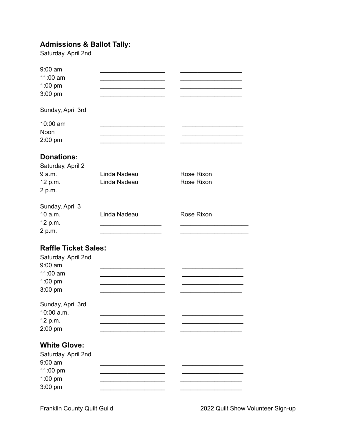# **Admissions & Ballot Tally:**

Saturday, April 2nd

| $9:00$ am<br>11:00 am<br>$1:00$ pm<br>$3:00$ pm                                                     |                              |                          |
|-----------------------------------------------------------------------------------------------------|------------------------------|--------------------------|
| Sunday, April 3rd                                                                                   |                              |                          |
| 10:00 am<br>Noon<br>$2:00$ pm                                                                       |                              |                          |
| <b>Donations:</b><br>Saturday, April 2<br>9 a.m.<br>12 p.m.<br>2 p.m.                               | Linda Nadeau<br>Linda Nadeau | Rose Rixon<br>Rose Rixon |
| Sunday, April 3<br>10 a.m.<br>12 p.m.<br>2 p.m.                                                     | Linda Nadeau                 | Rose Rixon               |
| <b>Raffle Ticket Sales:</b><br>Saturday, April 2nd<br>$9:00$ am<br>11:00 am<br>$1:00$ pm<br>3:00 pm |                              |                          |
| Sunday, April 3rd<br>10:00 a.m.<br>12 p.m.<br>2:00 pm                                               |                              |                          |
| <b>White Glove:</b><br>Saturday, April 2nd<br>$9:00$ am<br>11:00 pm<br>1:00 pm<br>3:00 pm           |                              |                          |

Franklin County Quilt Guild **2022** Quilt Show Volunteer Sign-up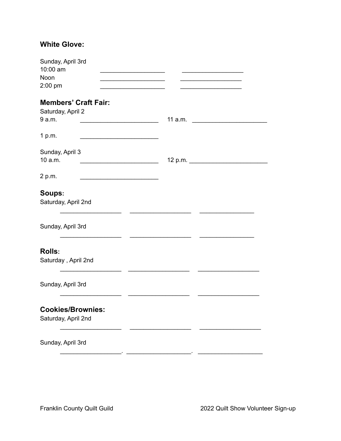### **White Glove:**

| Sunday, April 3rd<br>10:00 am<br>Noon<br>$2:00$ pm         | <u> 1990 - Johann Barbara, martxa alemani</u> ar a<br><u> 1989 - Johann Barbara, martxa alemani</u><br><u> 1989 - Johann Barbara, martin a</u> | the control of the control of the control of |
|------------------------------------------------------------|------------------------------------------------------------------------------------------------------------------------------------------------|----------------------------------------------|
| <b>Members' Craft Fair:</b><br>Saturday, April 2<br>9 a.m. |                                                                                                                                                |                                              |
| 1 p.m.                                                     | <u> 1989 - Johann John Stein, mars an deus Amerikaansk kommunister (</u>                                                                       |                                              |
| Sunday, April 3<br>10 a.m.                                 |                                                                                                                                                | 12 p.m.                                      |
| 2 p.m.                                                     | <u> 1990 - Johann Barbara, martin a</u>                                                                                                        |                                              |
| Soups:<br>Saturday, April 2nd                              |                                                                                                                                                |                                              |
| Sunday, April 3rd                                          |                                                                                                                                                |                                              |
| <b>Rolls:</b><br>Saturday, April 2nd                       |                                                                                                                                                |                                              |
| Sunday, April 3rd                                          |                                                                                                                                                |                                              |
| <b>Cookies/Brownies:</b><br>Saturday, April 2nd            |                                                                                                                                                |                                              |
| Sunday, April 3rd                                          |                                                                                                                                                |                                              |
|                                                            |                                                                                                                                                |                                              |